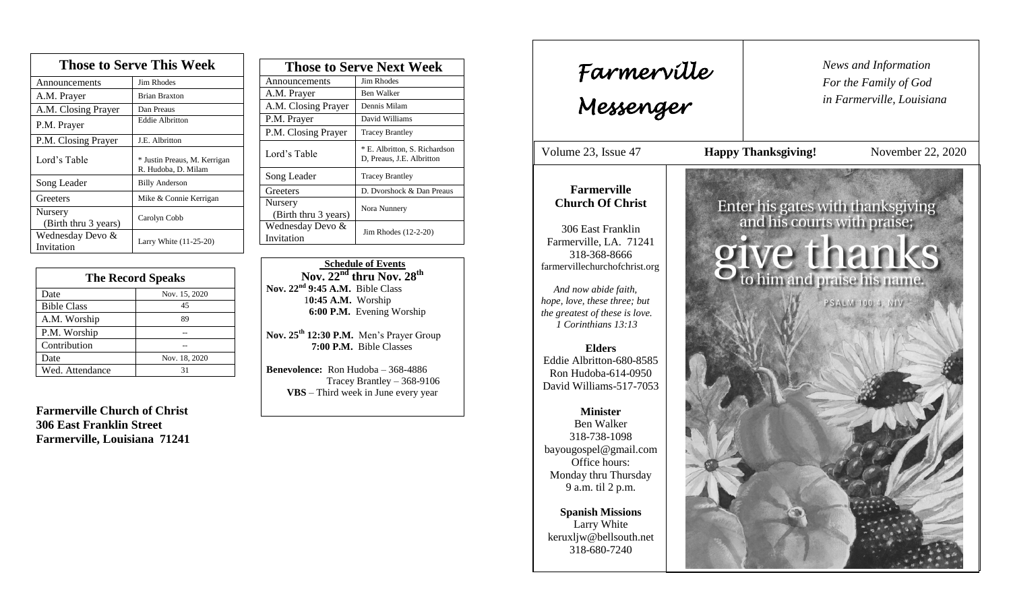| <b>Those to Serve This Week</b> |                                                     |  |
|---------------------------------|-----------------------------------------------------|--|
| Announcements                   | Jim Rhodes                                          |  |
| A.M. Prayer                     | <b>Brian Braxton</b>                                |  |
| A.M. Closing Prayer             | Dan Preaus                                          |  |
| P.M. Prayer                     | <b>Eddie Albritton</b>                              |  |
| P.M. Closing Prayer             | J.E. Albritton                                      |  |
| Lord's Table                    | * Justin Preaus, M. Kerrigan<br>R. Hudoba, D. Milam |  |
| Song Leader                     | <b>Billy Anderson</b>                               |  |
| Greeters                        | Mike & Connie Kerrigan                              |  |
| Nursery<br>(Birth thru 3 years) | Carolyn Cobb                                        |  |
| Wednesday Devo &<br>Invitation  | Larry White (11-25-20)                              |  |

| <b>The Record Speaks</b> |               |
|--------------------------|---------------|
| Date                     | Nov. 15, 2020 |
| <b>Bible Class</b>       | 45            |
| A.M. Worship             | 89            |
| P.M. Worship             |               |
| Contribution             |               |
| Date                     | Nov. 18, 2020 |
| Wed. Attendance          |               |

**Farmerville Church of Christ 306 East Franklin Street Farmerville, Louisiana 71241**

| <b>Those to Serve Next Week</b> |                                                            |
|---------------------------------|------------------------------------------------------------|
| Announcements                   | <b>Jim Rhodes</b>                                          |
| A.M. Prayer                     | Ben Walker                                                 |
| A.M. Closing Prayer             | Dennis Milam                                               |
| P.M. Prayer                     | David Williams                                             |
| P.M. Closing Prayer             | <b>Tracey Brantley</b>                                     |
| Lord's Table                    | * E. Albritton, S. Richardson<br>D, Preaus, J.E. Albritton |
| Song Leader                     | <b>Tracey Brantley</b>                                     |
| Greeters                        | D. Dvorshock & Dan Preaus                                  |
| Nursery<br>(Birth thru 3 years) | Nora Nunnery                                               |
| Wednesday Devo &<br>Invitation  | Jim Rhodes (12-2-20)                                       |

 **Schedule of Events Nov. 22nd thru Nov. 28 th Nov. 22nd 9:45 A.M.** Bible Class 1**0:45 A.M.** Worship  **6:00 P.M.** Evening Worship

**Nov. 25th 12:30 P.M.** Men's Prayer Group **7:00 P.M.** Bible Classes

**Benevolence:** Ron Hudoba – 368-4886 Tracey Brantley – 368-9106 **VBS** – Third week in June every year